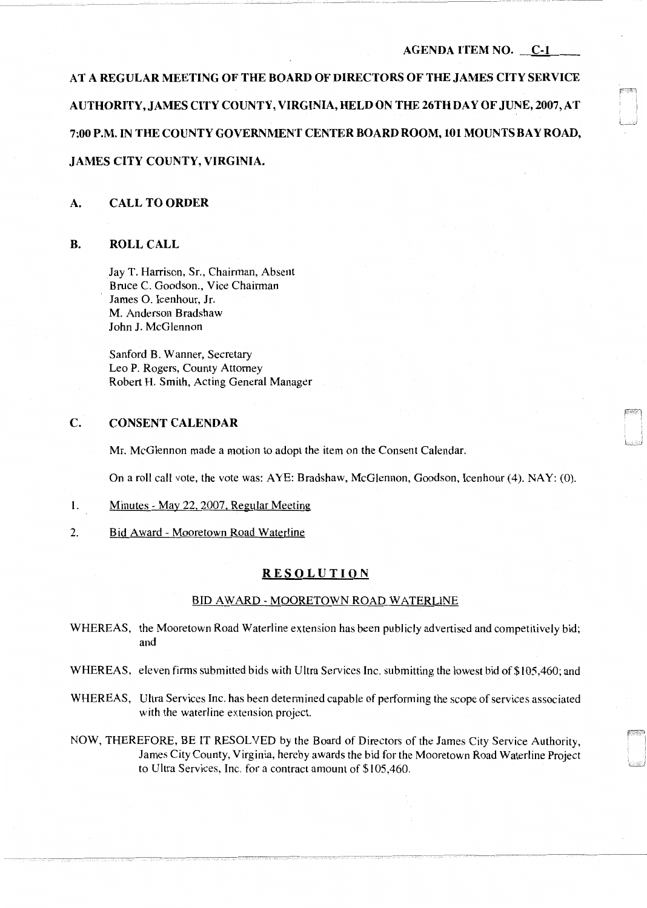### AGENDA ITEM NO. C-1

AT A REGULAR MEETING OF THE BOARD OF DIRECTORS OF THE JAMES CITY SERVICE AUTHORITY, JAMES CITY COUNTY, VIRGINIA, HELD ON THE 26TH DAY OF JUNE, 2007, AT 7:00 P.M. IN THE COUNTY GOVERNMENT CENTER BOARD ROOM, 101 MOUNTS BAY ROAD, JAMES CITY COUNTY, VIRGINIA.

#### A. CALL TO ORDER

# B. ROLL CALL

Jay T. Harrison, Sr., Chairman, Absent Bruce C. Goodson., Vice Chairman James 0. Icenhour, Jr. M. Anderson Bradshaw John J. McGlennon

Sanford B. Wanner, Secretary Leo P. Rogers, County Attorney Robert H. Smith, Acting General Manager

## C. CONSENT CALENDAR

----------------~-----------

Mr. McGlennon made a motion to adopt the item on the Consent Calendar.

On a roll call vote, the vote was: AYE: Bradshaw, McGlennon, Goodson, Icenhour (4). NAY: (0).

- l. Minutes May 22, 2007, Regular Meeting
- 2. Bid Award Mooretown Road Waterline

# RESOLUTION

# BID AWARD - MOORETOWN ROAD WATERLINE

- WHEREAS, the Mooretown Road Waterline extension has been publicly advertised and competitively bid; and
- WHEREAS, eleven firms submitted bids with Ultra Services Inc. submitting the lowest bid of \$105,460; and
- WHEREAS, Ultra Services Inc. has been determined capable of performing the scope of services associated with the waterline extension project.
- NOW, THEREFORE, BE IT RESOLVED by the Board of Directors of the James City Service Authority, James City County, Virginia, hereby awards the bid for the Mooretown Road Waterline Project to Ultra Services, Inc. for a contract amount of \$105,460.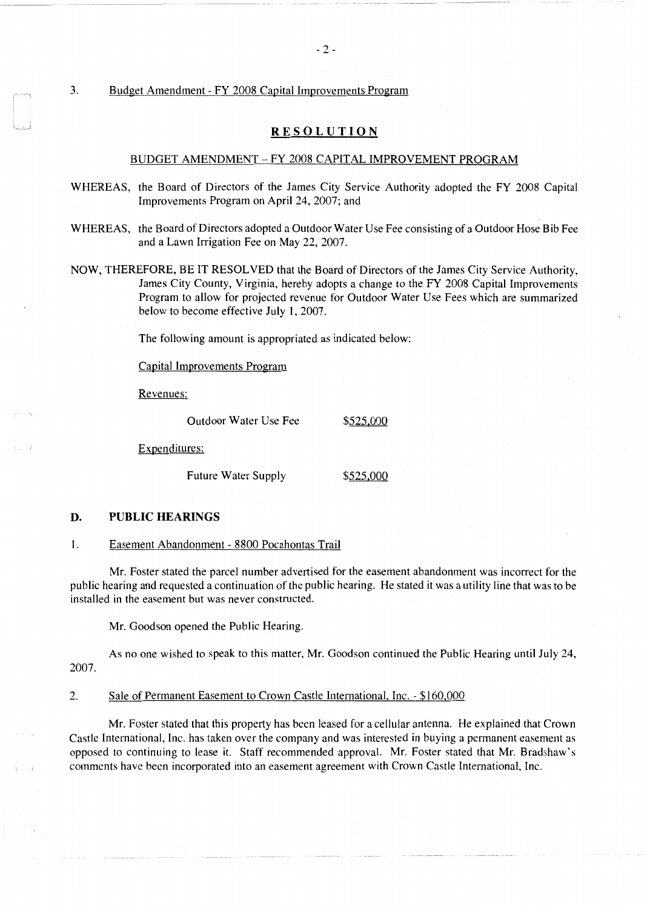3. Budget Amendment - FY 2008 Capital Improvements Program

# **RESOLUTION**

# BUDGET AMENDMENT - FY 2008 CAPITAL IMPROVEMENT PROGRAM

- WHEREAS, the Board of Directors of the James City Service Authority adopted the FY 2008 Capital Improvements Program on April 24, 2007; and
- WHEREAS, the Board of Directors adopted a Outdoor Water Use Fee consisting of a Outdoor Hose Bib Fee and a Lawn Irrigation Fee on May 22, 2007.
- NOW, THEREFORE, BE IT RESOLVED that the Board of Directors of the James City Service Authority, James City County, Virginia, hereby adopts a change to the FY 2008 Capital Improvements Program to allow for projected revenue for Outdoor Water Use Fees which are summarized below to become effective July I, 2007.

The following amount is appropriated as indicated below:

Capital Improvements Program

Revenues:

Outdoor Water Use Fee \$525,000

Expenditures:

Future Water Supply \$525,000

## **D. PUBLIC HEARINGS**

I. Easement Abandonment - 8800 Pocahontas Trail

Mr. Foster stated the parcel number advertised for the easement abandonment was incorrect for the public hearing and requested a continuation of the public hearing. He stated it was a utility line that was to be installed in the easement but was never constructed.

Mr. Goodson opened the Public Hearing.

As no one wished to speak to this matter, Mr. Goodson continued the Public Hearing until July 24, 2007.

2. Sale of Permanent Easement to Crown Castle International, Inc. - \$160,000

Mr. Foster stated that this property has been leased for a cellular antenna. He explained that Crown Castle International, Inc. has taken over the company and was interested in buying a permanent easement as opposed to continuing to lease it. Staff recommended approval. Mr. Foster stated that Mr. Bradshaw's comments have been incorporated into an easement agreement with Crown Castle International, Inc.

 $-2-$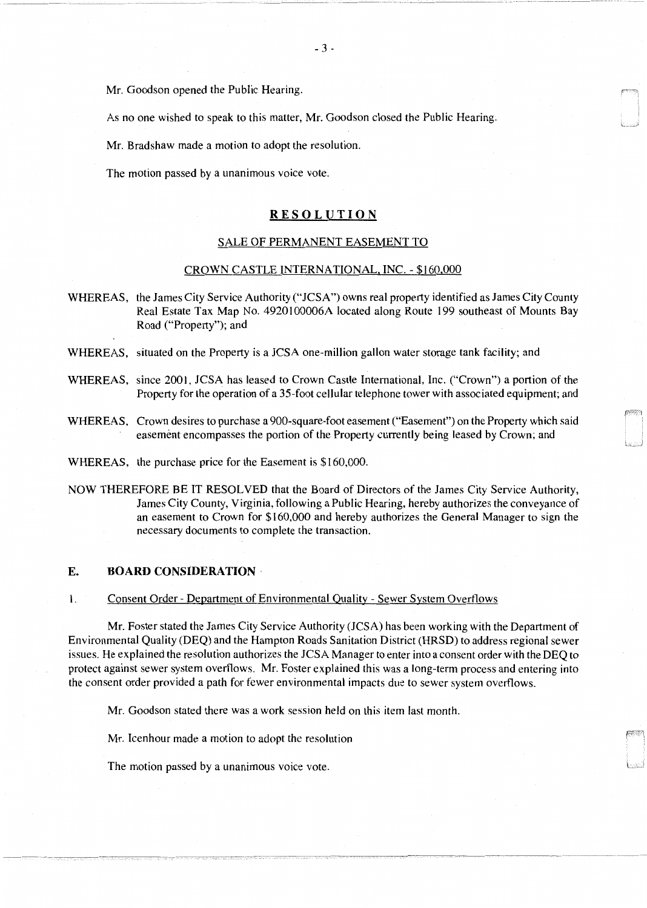Mr. Goodson opened the Public Hearing.

As no one wished to speak to this matter, Mr. Goodson closed the Public Hearing.

Mr. Bradshaw made a motion to adopt the resolution.

The motion passed by a unanimous voice vote.

## **RESOLUTION**

## SALE OF PERMANENT EASEMENT TO

#### CROWN CASTLE INTERNATIONAL, INC. - \$160,000

WHEREAS, the James City Service Authority ("JCSA") owns real property identified as James City County Real Estate Tax Map No. 4920100006A located along Route 199 southeast of Mounts Bay Road ("Property"); and

WHEREAS, situated on the Property is a JCSA one-million gallon water storage tank facility; and

- WHEREAS, since 2001, JCSA has leased to Crown Castle International, Inc. ("Crown") a portion of the Property for the operation of a 35-foot cellular telephone tower with associated equipment; and
- WHEREAS, Crown desires to purchase a 900-square-foot easement ("Easement") on the Property which said easement encompasses the portion of the Property currently being leased by Crown; and
- WHEREAS, the purchase price for the Easement is \$160,000.
- NOW THEREFORE BE IT RESOLVED that the Board of Directors of the James City Service Authority, James City County, Virginia, following a Public Hearing, hereby authorizes the conveyance of an easement to Crown for \$160,000 and hereby authorizes the General Manager to sign the necessary documents to complete the transaction.

## **E. BOARD CONSIDERATION**

#### I. Consent Order - Department of Environmental Quality - Sewer System Overflows

Mr. Foster stated the James City Service Authority (JCSA) has been working with the Department of Environmental Quality (DEQ) and the Hampton Roads Sanitation District (HRSD) to address regional sewer issues. He explained the resolution authorizes the JCSA Manager to enter into a consent order with the DEQ to protect against sewer system overflows. Mr. Foster explained this was a long-term process and entering into the consent order provided a path for fewer environmental impacts due to sewer system overflows.

Mr. Goodson stated there was a work session held on this item last month.

Mr. Icenhour made a motion to adopt the resolution

The motion passed by a unanimous voice vote.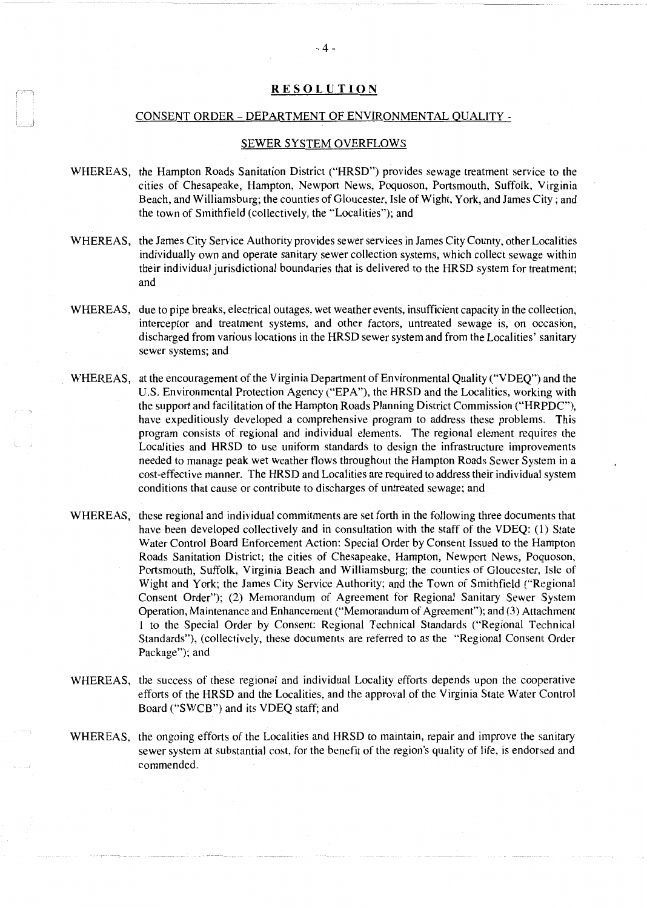## **RESOLUTION**

#### CONSENT ORDER- DEPARTMENT OF ENVIRONMENTAL QUALITY -

J

#### SEWER SYSTEM OVERFLOWS

- WHEREAS, the Hampton Roads Sanitation District ("HRSD") provides sewage treatment service to the cities of Chesapeake, Hampton, Newport News, Poquoson, Portsmouth, Suffolk, Virginia Beach, and Williamsburg; the counties of Gloucester, Isle of Wight, York, and James City; and the town of Smithfield (collectively, the "Localities"); and
- WHEREAS, the James City Service Authority provides sewer services in James City County, other Localities individually own and operate sanitary sewer collection systems, which collect sewage within their individual jurisdictional boundaries that is delivered to the HRSD system for treatment; and
- WHEREAS, due to pipe breaks, electrical outages, wet weather events, insufficient capacity in the collection, interceptor and treatment systems, and other factors, untreated sewage is, on occasion, discharged from various locations in the HRSD sewer system and from the Localities' sanitary sewer systems; and
- WHEREAS, at the encouragement of the Virginia Department of Environmental Quality ("VDEQ") and the U.S. Environmental Protection Agency ("EPA"), the HRSD and the Localities, working with the support and facilitation of the Hampton Roads Planning District Commission ("HRPDC"), have expeditiously developed a comprehensive program to address these problems. This program consists of regional and individual elements. The regional element requires the Localities and HRSD to use uniform standards to design the infrastructure improvements needed to manage peak wet weather flows throughout the Hampton Roads Sewer System in a cost-effective manner. The HRSD and Localities are required to address their individual system conditions that cause or contribute to discharges of untreated sewage; and
- WHEREAS, these regional and individual commitments are set forth in the following three documents that have been developed collectively and in consultation with the staff of the VDEQ: (1) State Water Control Board Enforcement Action: Special Order by Consent Issued to the Hampton Roads Sanitation District; the cities of Chesapeake, Hampton, Newport News, Poquoson, Portsmouth, Suffolk, Virginia Beach and Williamsburg; the counties of Gloucester, Isle of Wight and York; the James City Service Authority; and the Town of Smithfield ("Regional Consent Order"); (2) Memorandum of Agreement for Regional Sanitary Sewer System Operation, Maintenance and Enhancement ("Memorandum of Agreement"); and (3) Attachment 1 to the Special Order by Consent: Regional Technical Standards ("Regional Technical Standards"), (collectively, these documents are referred to as the "Regional Consent Order Package"); and
- WHEREAS, the success of these regional and individual Locality efforts depends upon the cooperative efforts of the HRSD and the Localities, and the approval of the Virginia State Water Control Board ("SWCB") and its VDEQ staff; and
- WHEREAS, the ongoing efforts of the Localities and HRSD to maintain, repair and improve the sanitary sewer system at substantial cost, for the benefit of the region's quality of life, is endorsed and commended.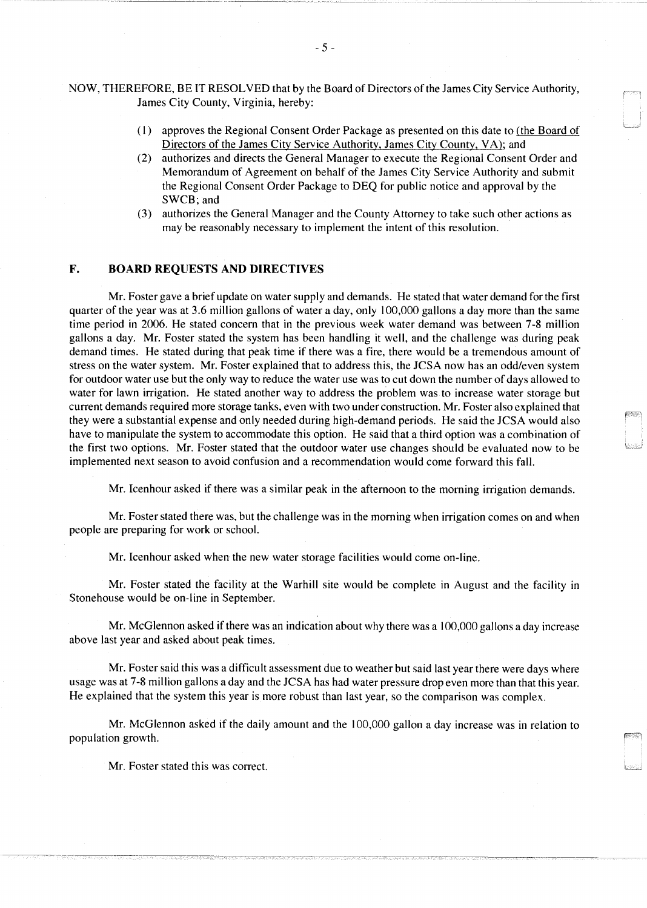NOW, THEREFORE, BE IT RESOLVED that by the Board of Directors of the James City Service Authority, James City County, Virginia, hereby:

> ( 1) approves the Regional Consent Order Package as presented on this date to (the Board of Directors of the James City Service Authority, James City County, VA); and

.<br>است

- (2) authorizes and directs the General Manager to execute the Regional Consent Order and Memorandum of Agreement on behalf of the James City Service Authority and submit the Regional Consent Order Package to DEQ for public notice and approval by the SWCB; and
- (3) authorizes the General Manager and the County Attorney to take such other actions as may be reasonably necessary to implement the intent of this resolution.

# F. BOARD REQUESTS AND DIRECTIVES

Mr. Foster gave a brief update on water supply and demands. He stated that water demand for the first quarter of the year was at 3.6 million gallons of water a day, only 100,000 gallons a day more than the same time period in 2006. He stated concern that in the previous week water demand was between 7-8 million gallons a day. Mr. Foster stated the system has been handling it well, and the challenge was during peak demand times. He stated during that peak time if there was a fire, there would be a tremendous amount of stress on the water system. Mr. Foster explained that to address this, the JCSA now has an odd/even system for outdoor water use but the only way to reduce the water use was to cut down the number of days allowed to water for lawn irrigation. He stated another way to address the problem was to increase water storage but current demands required more storage tanks, even with two under construction. Mr. Foster also explained that they were a substantial expense and only needed during high-demand periods. He said the JCSA would also have to manipulate the system to accommodate this option. He said that a third option was a combination of the first two options. Mr. Foster stated that the outdoor water use changes should be evaluated now to be implemented next season to avoid confusion and a recommendation would come forward this fall.

Mr. Icenhour asked if there was a similar peak in the afternoon to the morning irrigation demands.

Mr. Foster stated there was, but the challenge was in the morning when irrigation comes on and when people are preparing for work or school.

Mr. Icenhour asked when the new water storage facilities would come on-line.

Mr. Foster stated the facility at the Warhill site would be complete in August and the facility in Stonehouse would be on-line in September.

Mr. McGlennon asked if there was an indication about why there was a 100,000 gallons a day increase above last year and asked about peak times.

Mr. Foster said this was a difficult assessment due to weather but said last year there were days where usage was at 7-8 million gallons a day and the JCSA has had water pressure drop even more than that this year. He explained that the system this year is more robust than last year, so the comparison was complex.

Mr. McGlennon asked if the daily amount and the 100,000 gallon a day increase was in relation to population growth.

Mr. Foster stated this was correct.

- 5 -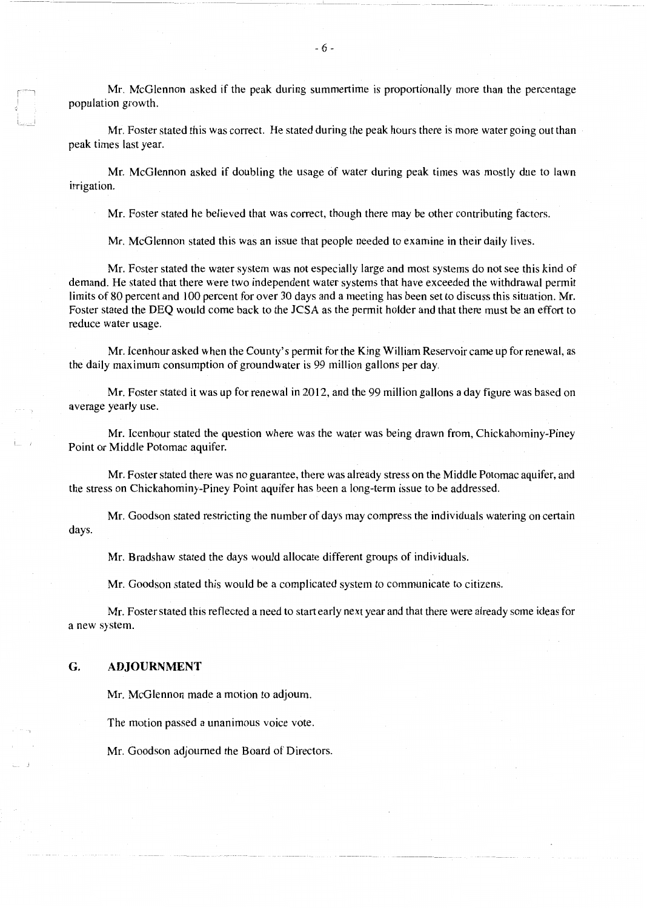Mr. McGlennon asked if the peak during summertime is proportionally more than the percentage population growth.

Mr. Foster stated this was correct. He stated during the peak hours there is more water going out than peak times last year.

Mr. McGlennon asked if doubling the usage of water during peak times was mostly due to lawn irrigation.

Mr. Foster stated he believed that was correct, though there may be other contributing factors.

Mr. McGlennon stated this was an issue that people needed to examine in their daily lives.

Mr. Foster stated the water system was not especially large and most systems do not see this kind of demand. He stated that there were two independent water systems that have exceeded the withdrawal permit limits of 80 percent and 100 percent for over 30 days and a meeting has been set to discuss this situation. Mr. Foster stated the DEQ would come back to the JCSA as the permit holder and that there must be an effort to reduce water usage.

Mr. Icenhour asked when the County's permit for the King William Reservoir came up for renewal, as the daily maximum consumption of groundwater is 99 million gallons per day.

Mr. Foster stated it was up for renewal in 2012, and the 99 million gallons a day figure was based on average yearly use.

Mr. Icenhour stated the question where was the water was being drawn from, Chickahominy-Piney Point or Middle Potomac aquifer.

Mr. Foster stated there was no guarantee, there was already stress on the Middle Potomac aquifer, and the stress on Chickahominy-Piney Point aquifer has been a long-term issue to be addressed.

Mr. Goodson stated restricting the number of days may compress the individuals watering on certain days.

Mr. Bradshaw stated the days would allocate different groups of individuals.

Mr. Goodson stated this would be a complicated system to communicate to citizens.

Mr. Foster stated this reflected a need to start early next year and that there were already some ideas for a new system.

### **G. ADJOURNMENT**

ار<br>العديدا

Mr. McGlennon made a motion to adjourn.

The motion passed a unanimous voice vote.

Mr. Goodson adjourned the Board of Directors.